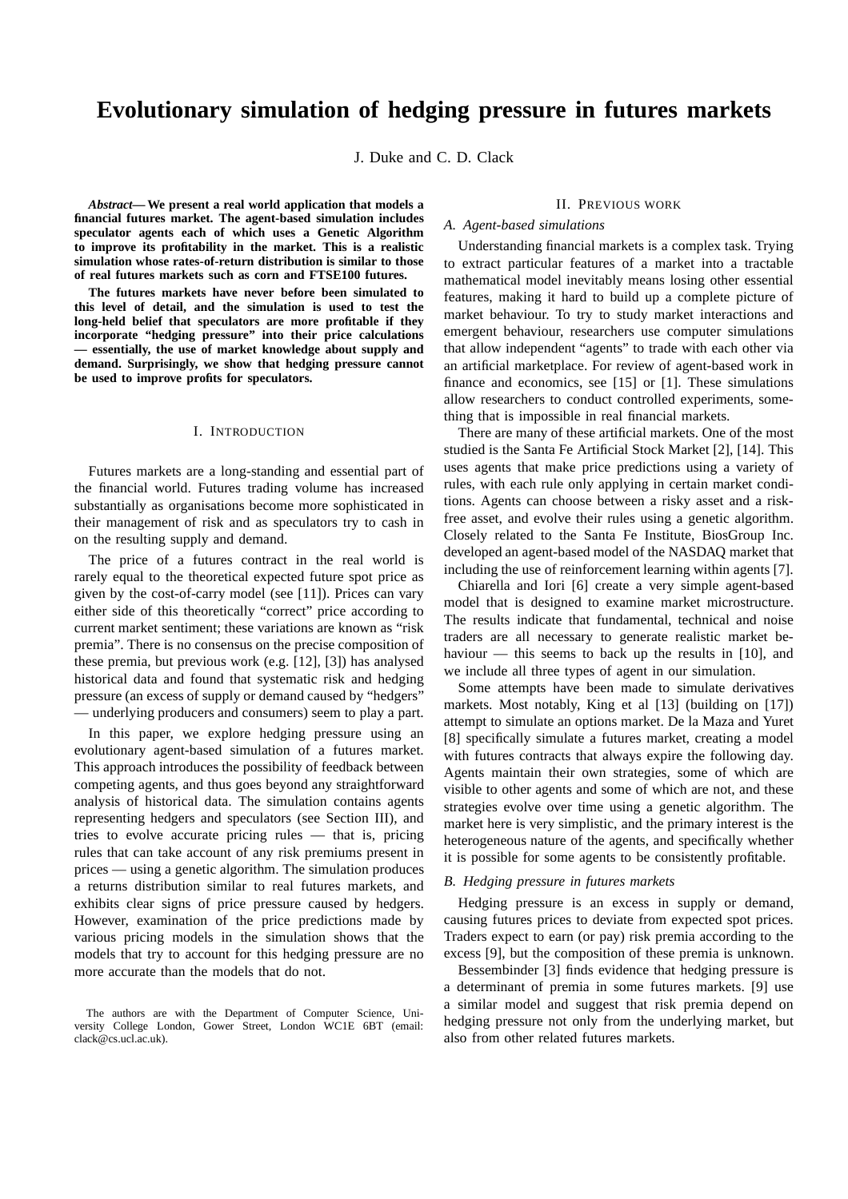# **Evolutionary simulation of hedging pressure in futures markets**

J. Duke and C. D. Clack

*Abstract***— We present a real world application that models a financial futures market. The agent-based simulation includes speculator agents each of which uses a Genetic Algorithm to improve its profitability in the market. This is a realistic simulation whose rates-of-return distribution is similar to those of real futures markets such as corn and FTSE100 futures.**

**The futures markets have never before been simulated to this level of detail, and the simulation is used to test the long-held belief that speculators are more profitable if they incorporate "hedging pressure" into their price calculations — essentially, the use of market knowledge about supply and demand. Surprisingly, we show that hedging pressure cannot be used to improve profits for speculators.**

#### I. INTRODUCTION

Futures markets are a long-standing and essential part of the financial world. Futures trading volume has increased substantially as organisations become more sophisticated in their management of risk and as speculators try to cash in on the resulting supply and demand.

The price of a futures contract in the real world is rarely equal to the theoretical expected future spot price as given by the cost-of-carry model (see [11]). Prices can vary either side of this theoretically "correct" price according to current market sentiment; these variations are known as "risk premia". There is no consensus on the precise composition of these premia, but previous work (e.g. [12], [3]) has analysed historical data and found that systematic risk and hedging pressure (an excess of supply or demand caused by "hedgers" — underlying producers and consumers) seem to play a part.

In this paper, we explore hedging pressure using an evolutionary agent-based simulation of a futures market. This approach introduces the possibility of feedback between competing agents, and thus goes beyond any straightforward analysis of historical data. The simulation contains agents representing hedgers and speculators (see Section III), and tries to evolve accurate pricing rules — that is, pricing rules that can take account of any risk premiums present in prices — using a genetic algorithm. The simulation produces a returns distribution similar to real futures markets, and exhibits clear signs of price pressure caused by hedgers. However, examination of the price predictions made by various pricing models in the simulation shows that the models that try to account for this hedging pressure are no more accurate than the models that do not.

#### II. PREVIOUS WORK

## *A. Agent-based simulations*

Understanding financial markets is a complex task. Trying to extract particular features of a market into a tractable mathematical model inevitably means losing other essential features, making it hard to build up a complete picture of market behaviour. To try to study market interactions and emergent behaviour, researchers use computer simulations that allow independent "agents" to trade with each other via an artificial marketplace. For review of agent-based work in finance and economics, see [15] or [1]. These simulations allow researchers to conduct controlled experiments, something that is impossible in real financial markets.

There are many of these artificial markets. One of the most studied is the Santa Fe Artificial Stock Market [2], [14]. This uses agents that make price predictions using a variety of rules, with each rule only applying in certain market conditions. Agents can choose between a risky asset and a riskfree asset, and evolve their rules using a genetic algorithm. Closely related to the Santa Fe Institute, BiosGroup Inc. developed an agent-based model of the NASDAQ market that including the use of reinforcement learning within agents [7].

Chiarella and Iori [6] create a very simple agent-based model that is designed to examine market microstructure. The results indicate that fundamental, technical and noise traders are all necessary to generate realistic market behaviour — this seems to back up the results in [10], and we include all three types of agent in our simulation.

Some attempts have been made to simulate derivatives markets. Most notably, King et al [13] (building on [17]) attempt to simulate an options market. De la Maza and Yuret [8] specifically simulate a futures market, creating a model with futures contracts that always expire the following day. Agents maintain their own strategies, some of which are visible to other agents and some of which are not, and these strategies evolve over time using a genetic algorithm. The market here is very simplistic, and the primary interest is the heterogeneous nature of the agents, and specifically whether it is possible for some agents to be consistently profitable.

#### *B. Hedging pressure in futures markets*

Hedging pressure is an excess in supply or demand, causing futures prices to deviate from expected spot prices. Traders expect to earn (or pay) risk premia according to the excess [9], but the composition of these premia is unknown.

Bessembinder [3] finds evidence that hedging pressure is a determinant of premia in some futures markets. [9] use a similar model and suggest that risk premia depend on hedging pressure not only from the underlying market, but also from other related futures markets.

The authors are with the Department of Computer Science, University College London, Gower Street, London WC1E 6BT (email: clack@cs.ucl.ac.uk).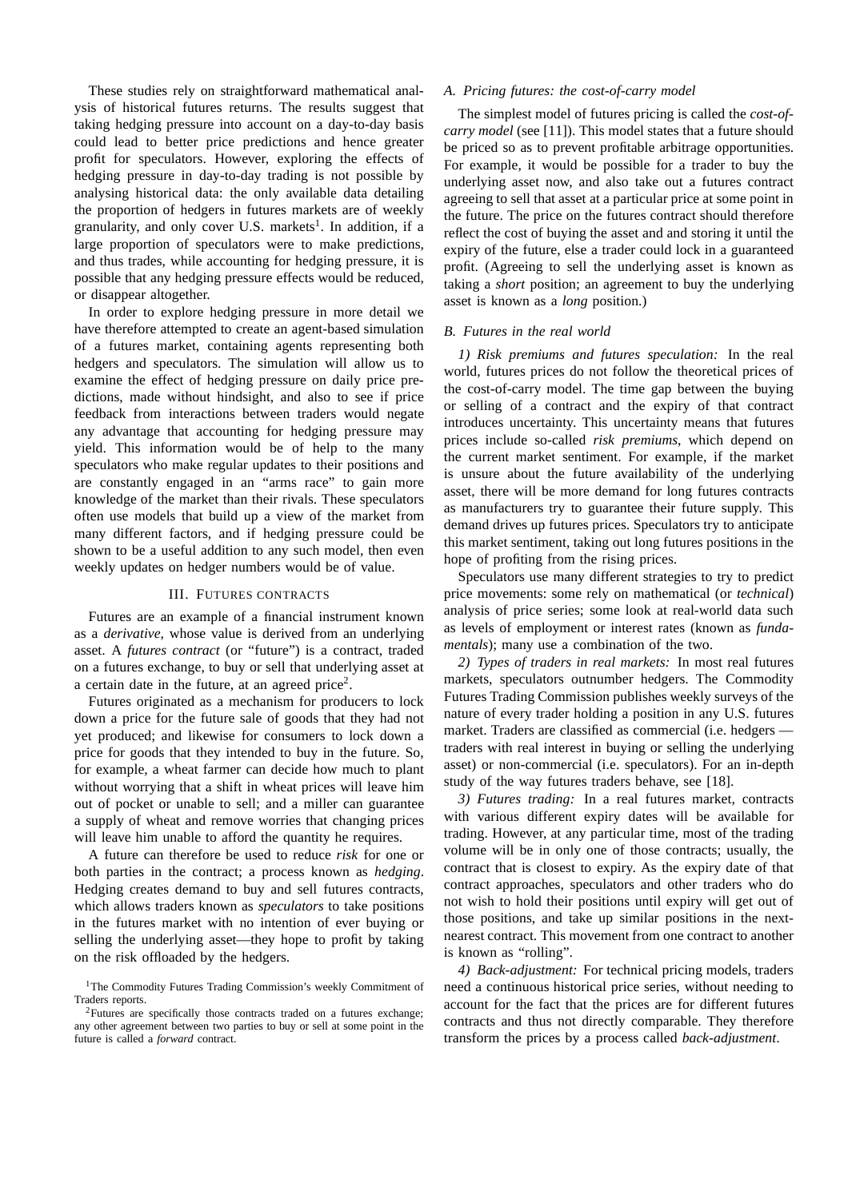These studies rely on straightforward mathematical analysis of historical futures returns. The results suggest that taking hedging pressure into account on a day-to-day basis could lead to better price predictions and hence greater profit for speculators. However, exploring the effects of hedging pressure in day-to-day trading is not possible by analysing historical data: the only available data detailing the proportion of hedgers in futures markets are of weekly granularity, and only cover U.S. markets<sup>1</sup>. In addition, if a large proportion of speculators were to make predictions, and thus trades, while accounting for hedging pressure, it is possible that any hedging pressure effects would be reduced, or disappear altogether.

In order to explore hedging pressure in more detail we have therefore attempted to create an agent-based simulation of a futures market, containing agents representing both hedgers and speculators. The simulation will allow us to examine the effect of hedging pressure on daily price predictions, made without hindsight, and also to see if price feedback from interactions between traders would negate any advantage that accounting for hedging pressure may yield. This information would be of help to the many speculators who make regular updates to their positions and are constantly engaged in an "arms race" to gain more knowledge of the market than their rivals. These speculators often use models that build up a view of the market from many different factors, and if hedging pressure could be shown to be a useful addition to any such model, then even weekly updates on hedger numbers would be of value.

#### III. FUTURES CONTRACTS

Futures are an example of a financial instrument known as a *derivative*, whose value is derived from an underlying asset. A *futures contract* (or "future") is a contract, traded on a futures exchange, to buy or sell that underlying asset at a certain date in the future, at an agreed price<sup>2</sup>.

Futures originated as a mechanism for producers to lock down a price for the future sale of goods that they had not yet produced; and likewise for consumers to lock down a price for goods that they intended to buy in the future. So, for example, a wheat farmer can decide how much to plant without worrying that a shift in wheat prices will leave him out of pocket or unable to sell; and a miller can guarantee a supply of wheat and remove worries that changing prices will leave him unable to afford the quantity he requires.

A future can therefore be used to reduce *risk* for one or both parties in the contract; a process known as *hedging*. Hedging creates demand to buy and sell futures contracts, which allows traders known as *speculators* to take positions in the futures market with no intention of ever buying or selling the underlying asset—they hope to profit by taking on the risk offloaded by the hedgers.

## *A. Pricing futures: the cost-of-carry model*

The simplest model of futures pricing is called the *cost-ofcarry model* (see [11]). This model states that a future should be priced so as to prevent profitable arbitrage opportunities. For example, it would be possible for a trader to buy the underlying asset now, and also take out a futures contract agreeing to sell that asset at a particular price at some point in the future. The price on the futures contract should therefore reflect the cost of buying the asset and and storing it until the expiry of the future, else a trader could lock in a guaranteed profit. (Agreeing to sell the underlying asset is known as taking a *short* position; an agreement to buy the underlying asset is known as a *long* position.)

#### *B. Futures in the real world*

*1) Risk premiums and futures speculation:* In the real world, futures prices do not follow the theoretical prices of the cost-of-carry model. The time gap between the buying or selling of a contract and the expiry of that contract introduces uncertainty. This uncertainty means that futures prices include so-called *risk premiums*, which depend on the current market sentiment. For example, if the market is unsure about the future availability of the underlying asset, there will be more demand for long futures contracts as manufacturers try to guarantee their future supply. This demand drives up futures prices. Speculators try to anticipate this market sentiment, taking out long futures positions in the hope of profiting from the rising prices.

Speculators use many different strategies to try to predict price movements: some rely on mathematical (or *technical*) analysis of price series; some look at real-world data such as levels of employment or interest rates (known as *fundamentals*); many use a combination of the two.

*2) Types of traders in real markets:* In most real futures markets, speculators outnumber hedgers. The Commodity Futures Trading Commission publishes weekly surveys of the nature of every trader holding a position in any U.S. futures market. Traders are classified as commercial (i.e. hedgers traders with real interest in buying or selling the underlying asset) or non-commercial (i.e. speculators). For an in-depth study of the way futures traders behave, see [18].

*3) Futures trading:* In a real futures market, contracts with various different expiry dates will be available for trading. However, at any particular time, most of the trading volume will be in only one of those contracts; usually, the contract that is closest to expiry. As the expiry date of that contract approaches, speculators and other traders who do not wish to hold their positions until expiry will get out of those positions, and take up similar positions in the nextnearest contract. This movement from one contract to another is known as "rolling".

*4) Back-adjustment:* For technical pricing models, traders need a continuous historical price series, without needing to account for the fact that the prices are for different futures contracts and thus not directly comparable. They therefore transform the prices by a process called *back-adjustment*.

<sup>&</sup>lt;sup>1</sup>The Commodity Futures Trading Commission's weekly Commitment of Traders reports.

<sup>&</sup>lt;sup>2</sup>Futures are specifically those contracts traded on a futures exchange; any other agreement between two parties to buy or sell at some point in the future is called a *forward* contract.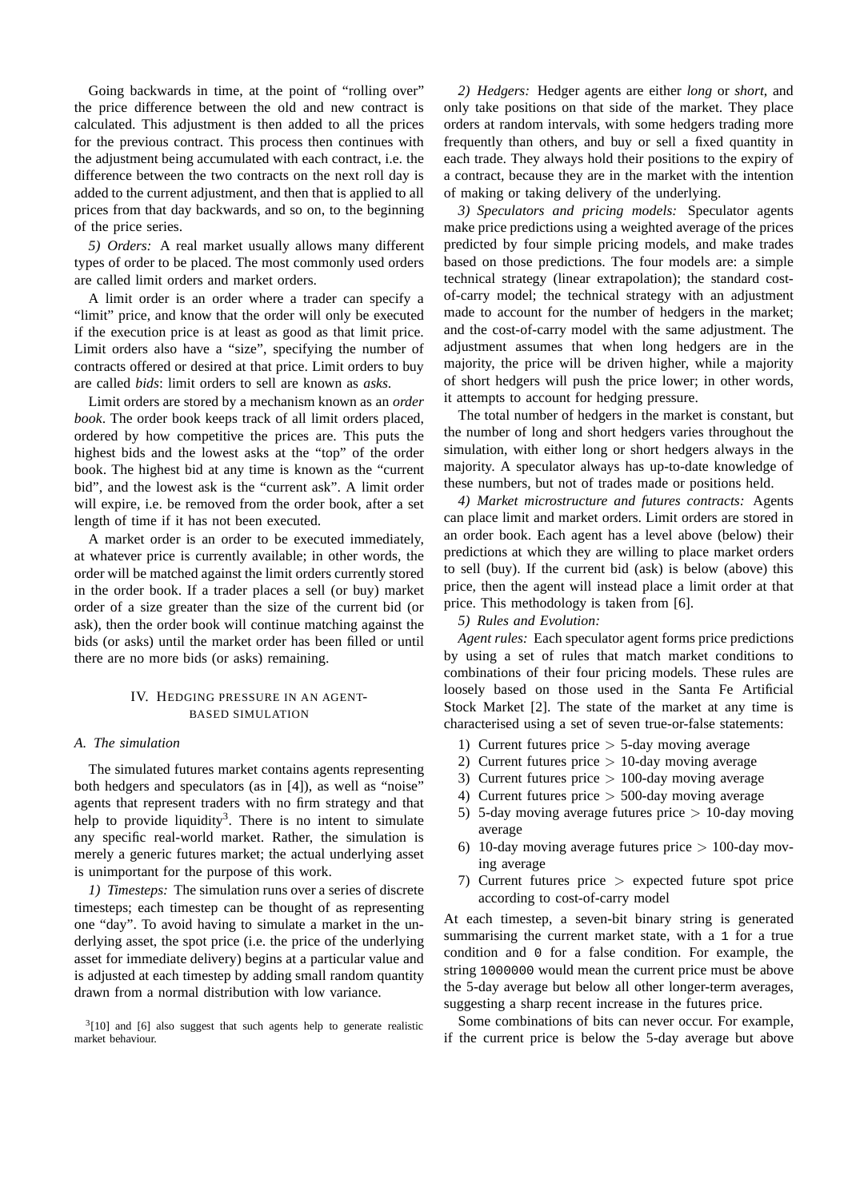Going backwards in time, at the point of "rolling over" the price difference between the old and new contract is calculated. This adjustment is then added to all the prices for the previous contract. This process then continues with the adjustment being accumulated with each contract, i.e. the difference between the two contracts on the next roll day is added to the current adjustment, and then that is applied to all prices from that day backwards, and so on, to the beginning of the price series.

*5) Orders:* A real market usually allows many different types of order to be placed. The most commonly used orders are called limit orders and market orders.

A limit order is an order where a trader can specify a "limit" price, and know that the order will only be executed if the execution price is at least as good as that limit price. Limit orders also have a "size", specifying the number of contracts offered or desired at that price. Limit orders to buy are called *bids*: limit orders to sell are known as *asks*.

Limit orders are stored by a mechanism known as an *order book*. The order book keeps track of all limit orders placed, ordered by how competitive the prices are. This puts the highest bids and the lowest asks at the "top" of the order book. The highest bid at any time is known as the "current bid", and the lowest ask is the "current ask". A limit order will expire, i.e. be removed from the order book, after a set length of time if it has not been executed.

A market order is an order to be executed immediately, at whatever price is currently available; in other words, the order will be matched against the limit orders currently stored in the order book. If a trader places a sell (or buy) market order of a size greater than the size of the current bid (or ask), then the order book will continue matching against the bids (or asks) until the market order has been filled or until there are no more bids (or asks) remaining.

## IV. HEDGING PRESSURE IN AN AGENT-BASED SIMULATION

#### *A. The simulation*

The simulated futures market contains agents representing both hedgers and speculators (as in [4]), as well as "noise" agents that represent traders with no firm strategy and that help to provide liquidity<sup>3</sup>. There is no intent to simulate any specific real-world market. Rather, the simulation is merely a generic futures market; the actual underlying asset is unimportant for the purpose of this work.

*1) Timesteps:* The simulation runs over a series of discrete timesteps; each timestep can be thought of as representing one "day". To avoid having to simulate a market in the underlying asset, the spot price (i.e. the price of the underlying asset for immediate delivery) begins at a particular value and is adjusted at each timestep by adding small random quantity drawn from a normal distribution with low variance.

 $3[10]$  and [6] also suggest that such agents help to generate realistic market behaviour.

*2) Hedgers:* Hedger agents are either *long* or *short*, and only take positions on that side of the market. They place orders at random intervals, with some hedgers trading more frequently than others, and buy or sell a fixed quantity in each trade. They always hold their positions to the expiry of a contract, because they are in the market with the intention of making or taking delivery of the underlying.

*3) Speculators and pricing models:* Speculator agents make price predictions using a weighted average of the prices predicted by four simple pricing models, and make trades based on those predictions. The four models are: a simple technical strategy (linear extrapolation); the standard costof-carry model; the technical strategy with an adjustment made to account for the number of hedgers in the market; and the cost-of-carry model with the same adjustment. The adjustment assumes that when long hedgers are in the majority, the price will be driven higher, while a majority of short hedgers will push the price lower; in other words, it attempts to account for hedging pressure.

The total number of hedgers in the market is constant, but the number of long and short hedgers varies throughout the simulation, with either long or short hedgers always in the majority. A speculator always has up-to-date knowledge of these numbers, but not of trades made or positions held.

*4) Market microstructure and futures contracts:* Agents can place limit and market orders. Limit orders are stored in an order book. Each agent has a level above (below) their predictions at which they are willing to place market orders to sell (buy). If the current bid (ask) is below (above) this price, then the agent will instead place a limit order at that price. This methodology is taken from [6].

## *5) Rules and Evolution:*

*Agent rules:* Each speculator agent forms price predictions by using a set of rules that match market conditions to combinations of their four pricing models. These rules are loosely based on those used in the Santa Fe Artificial Stock Market [2]. The state of the market at any time is characterised using a set of seven true-or-false statements:

- 1) Current futures price  $>$  5-day moving average
- 2) Current futures price  $> 10$ -day moving average
- 3) Current futures price  $> 100$ -day moving average
- 4) Current futures price  $>$  500-day moving average
- 5) 5-day moving average futures price  $> 10$ -day moving average
- 6) 10-day moving average futures price  $> 100$ -day moving average
- 7) Current futures price > expected future spot price according to cost-of-carry model

At each timestep, a seven-bit binary string is generated summarising the current market state, with a 1 for a true condition and 0 for a false condition. For example, the string 1000000 would mean the current price must be above the 5-day average but below all other longer-term averages, suggesting a sharp recent increase in the futures price.

Some combinations of bits can never occur. For example, if the current price is below the 5-day average but above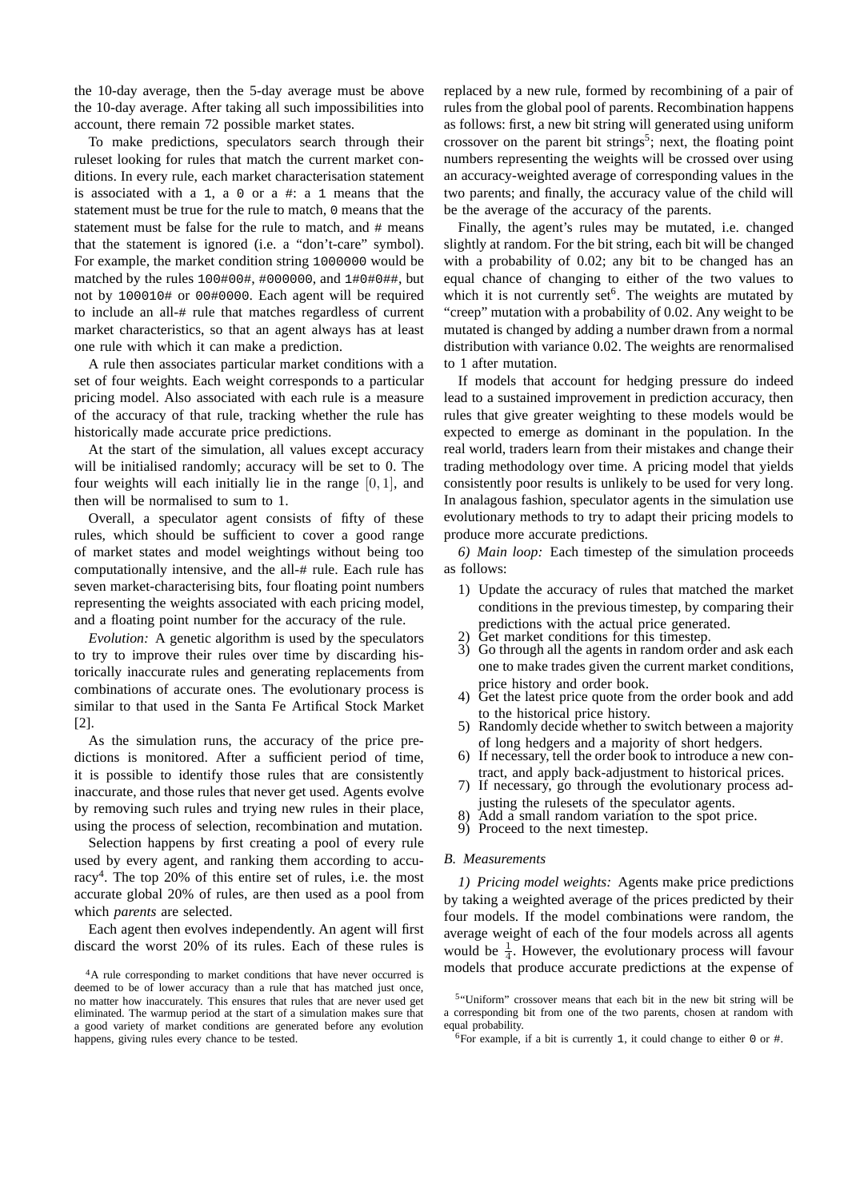the 10-day average, then the 5-day average must be above the 10-day average. After taking all such impossibilities into account, there remain 72 possible market states.

To make predictions, speculators search through their ruleset looking for rules that match the current market conditions. In every rule, each market characterisation statement is associated with a 1, a 0 or a #: a 1 means that the statement must be true for the rule to match, 0 means that the statement must be false for the rule to match, and # means that the statement is ignored (i.e. a "don't-care" symbol). For example, the market condition string 1000000 would be matched by the rules 100#00#, #000000, and 1#0#0##, but not by 100010# or 00#0000. Each agent will be required to include an all-# rule that matches regardless of current market characteristics, so that an agent always has at least one rule with which it can make a prediction.

A rule then associates particular market conditions with a set of four weights. Each weight corresponds to a particular pricing model. Also associated with each rule is a measure of the accuracy of that rule, tracking whether the rule has historically made accurate price predictions.

At the start of the simulation, all values except accuracy will be initialised randomly; accuracy will be set to 0. The four weights will each initially lie in the range  $[0, 1]$ , and then will be normalised to sum to 1.

Overall, a speculator agent consists of fifty of these rules, which should be sufficient to cover a good range of market states and model weightings without being too computationally intensive, and the all-# rule. Each rule has seven market-characterising bits, four floating point numbers representing the weights associated with each pricing model, and a floating point number for the accuracy of the rule.

*Evolution:* A genetic algorithm is used by the speculators to try to improve their rules over time by discarding historically inaccurate rules and generating replacements from combinations of accurate ones. The evolutionary process is similar to that used in the Santa Fe Artifical Stock Market [2].

As the simulation runs, the accuracy of the price predictions is monitored. After a sufficient period of time, it is possible to identify those rules that are consistently inaccurate, and those rules that never get used. Agents evolve by removing such rules and trying new rules in their place, using the process of selection, recombination and mutation.

Selection happens by first creating a pool of every rule used by every agent, and ranking them according to accuracy<sup>4</sup>. The top 20% of this entire set of rules, i.e. the most accurate global 20% of rules, are then used as a pool from which *parents* are selected.

Each agent then evolves independently. An agent will first discard the worst 20% of its rules. Each of these rules is

replaced by a new rule, formed by recombining of a pair of rules from the global pool of parents. Recombination happens as follows: first, a new bit string will generated using uniform crossover on the parent bit strings<sup>5</sup>; next, the floating point numbers representing the weights will be crossed over using an accuracy-weighted average of corresponding values in the two parents; and finally, the accuracy value of the child will be the average of the accuracy of the parents.

Finally, the agent's rules may be mutated, i.e. changed slightly at random. For the bit string, each bit will be changed with a probability of 0.02; any bit to be changed has an equal chance of changing to either of the two values to which it is not currently set<sup>6</sup>. The weights are mutated by "creep" mutation with a probability of 0.02. Any weight to be mutated is changed by adding a number drawn from a normal distribution with variance 0.02. The weights are renormalised to 1 after mutation.

If models that account for hedging pressure do indeed lead to a sustained improvement in prediction accuracy, then rules that give greater weighting to these models would be expected to emerge as dominant in the population. In the real world, traders learn from their mistakes and change their trading methodology over time. A pricing model that yields consistently poor results is unlikely to be used for very long. In analagous fashion, speculator agents in the simulation use evolutionary methods to try to adapt their pricing models to produce more accurate predictions.

*6) Main loop:* Each timestep of the simulation proceeds as follows:

- 1) Update the accuracy of rules that matched the market conditions in the previous timestep, by comparing their predictions with the actual price generated.
- 2) Get market conditions for this timestep.
- 3) Go through all the agents in random order and ask each one to make trades given the current market conditions, price history and order book.
- 4) Get the latest price quote from the order book and add to the historical price history.
- 5) Randomly decide whether to switch between a majority of long hedgers and a majority of short hedgers.
- 6) If necessary, tell the order book to introduce a new contract, and apply back-adjustment to historical prices.
- 7) If necessary, go through the evolutionary process adjusting the rulesets of the speculator agents.
- Add a small random variation to the spot price.
- $\tilde{9}$ ) Proceed to the next timestep.

#### *B. Measurements*

*1) Pricing model weights:* Agents make price predictions by taking a weighted average of the prices predicted by their four models. If the model combinations were random, the average weight of each of the four models across all agents would be  $\frac{1}{4}$ . However, the evolutionary process will favour models that produce accurate predictions at the expense of

<sup>&</sup>lt;sup>4</sup>A rule corresponding to market conditions that have never occurred is deemed to be of lower accuracy than a rule that has matched just once. no matter how inaccurately. This ensures that rules that are never used get eliminated. The warmup period at the start of a simulation makes sure that a good variety of market conditions are generated before any evolution happens, giving rules every chance to be tested.

<sup>&</sup>lt;sup>5</sup>"Uniform" crossover means that each bit in the new bit string will be a corresponding bit from one of the two parents, chosen at random with equal probability.

<sup>&</sup>lt;sup>6</sup>For example, if a bit is currently 1, it could change to either 0 or  $\#$ .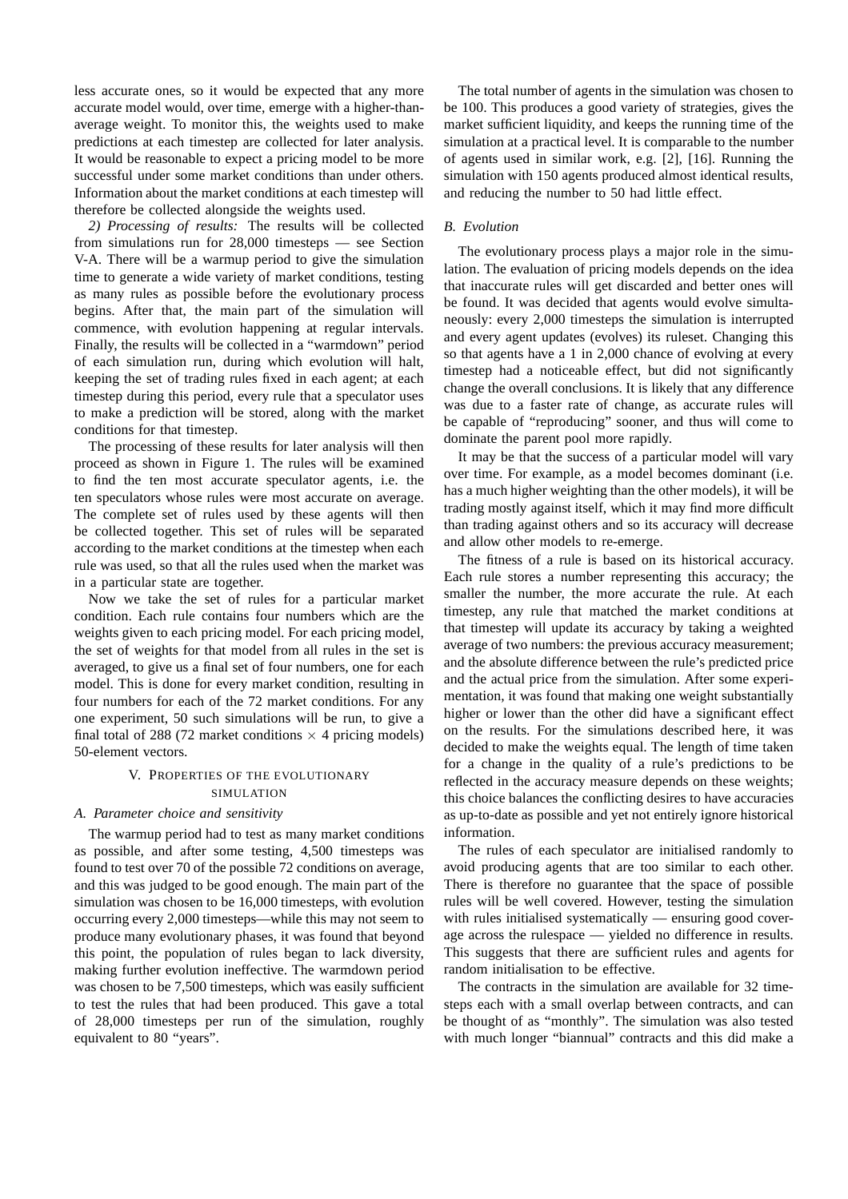less accurate ones, so it would be expected that any more accurate model would, over time, emerge with a higher-thanaverage weight. To monitor this, the weights used to make predictions at each timestep are collected for later analysis. It would be reasonable to expect a pricing model to be more successful under some market conditions than under others. Information about the market conditions at each timestep will therefore be collected alongside the weights used.

*2) Processing of results:* The results will be collected from simulations run for 28,000 timesteps — see Section V-A. There will be a warmup period to give the simulation time to generate a wide variety of market conditions, testing as many rules as possible before the evolutionary process begins. After that, the main part of the simulation will commence, with evolution happening at regular intervals. Finally, the results will be collected in a "warmdown" period of each simulation run, during which evolution will halt, keeping the set of trading rules fixed in each agent; at each timestep during this period, every rule that a speculator uses to make a prediction will be stored, along with the market conditions for that timestep.

The processing of these results for later analysis will then proceed as shown in Figure 1. The rules will be examined to find the ten most accurate speculator agents, i.e. the ten speculators whose rules were most accurate on average. The complete set of rules used by these agents will then be collected together. This set of rules will be separated according to the market conditions at the timestep when each rule was used, so that all the rules used when the market was in a particular state are together.

Now we take the set of rules for a particular market condition. Each rule contains four numbers which are the weights given to each pricing model. For each pricing model, the set of weights for that model from all rules in the set is averaged, to give us a final set of four numbers, one for each model. This is done for every market condition, resulting in four numbers for each of the 72 market conditions. For any one experiment, 50 such simulations will be run, to give a final total of 288 (72 market conditions  $\times$  4 pricing models) 50-element vectors.

## V. PROPERTIES OF THE EVOLUTIONARY SIMULATION

## *A. Parameter choice and sensitivity*

The warmup period had to test as many market conditions as possible, and after some testing, 4,500 timesteps was found to test over 70 of the possible 72 conditions on average, and this was judged to be good enough. The main part of the simulation was chosen to be 16,000 timesteps, with evolution occurring every 2,000 timesteps—while this may not seem to produce many evolutionary phases, it was found that beyond this point, the population of rules began to lack diversity, making further evolution ineffective. The warmdown period was chosen to be 7,500 timesteps, which was easily sufficient to test the rules that had been produced. This gave a total of 28,000 timesteps per run of the simulation, roughly equivalent to 80 "years".

The total number of agents in the simulation was chosen to be 100. This produces a good variety of strategies, gives the market sufficient liquidity, and keeps the running time of the simulation at a practical level. It is comparable to the number of agents used in similar work, e.g. [2], [16]. Running the simulation with 150 agents produced almost identical results, and reducing the number to 50 had little effect.

### *B. Evolution*

The evolutionary process plays a major role in the simulation. The evaluation of pricing models depends on the idea that inaccurate rules will get discarded and better ones will be found. It was decided that agents would evolve simultaneously: every 2,000 timesteps the simulation is interrupted and every agent updates (evolves) its ruleset. Changing this so that agents have a 1 in 2,000 chance of evolving at every timestep had a noticeable effect, but did not significantly change the overall conclusions. It is likely that any difference was due to a faster rate of change, as accurate rules will be capable of "reproducing" sooner, and thus will come to dominate the parent pool more rapidly.

It may be that the success of a particular model will vary over time. For example, as a model becomes dominant (i.e. has a much higher weighting than the other models), it will be trading mostly against itself, which it may find more difficult than trading against others and so its accuracy will decrease and allow other models to re-emerge.

The fitness of a rule is based on its historical accuracy. Each rule stores a number representing this accuracy; the smaller the number, the more accurate the rule. At each timestep, any rule that matched the market conditions at that timestep will update its accuracy by taking a weighted average of two numbers: the previous accuracy measurement; and the absolute difference between the rule's predicted price and the actual price from the simulation. After some experimentation, it was found that making one weight substantially higher or lower than the other did have a significant effect on the results. For the simulations described here, it was decided to make the weights equal. The length of time taken for a change in the quality of a rule's predictions to be reflected in the accuracy measure depends on these weights; this choice balances the conflicting desires to have accuracies as up-to-date as possible and yet not entirely ignore historical information.

The rules of each speculator are initialised randomly to avoid producing agents that are too similar to each other. There is therefore no guarantee that the space of possible rules will be well covered. However, testing the simulation with rules initialised systematically — ensuring good coverage across the rulespace — yielded no difference in results. This suggests that there are sufficient rules and agents for random initialisation to be effective.

The contracts in the simulation are available for 32 timesteps each with a small overlap between contracts, and can be thought of as "monthly". The simulation was also tested with much longer "biannual" contracts and this did make a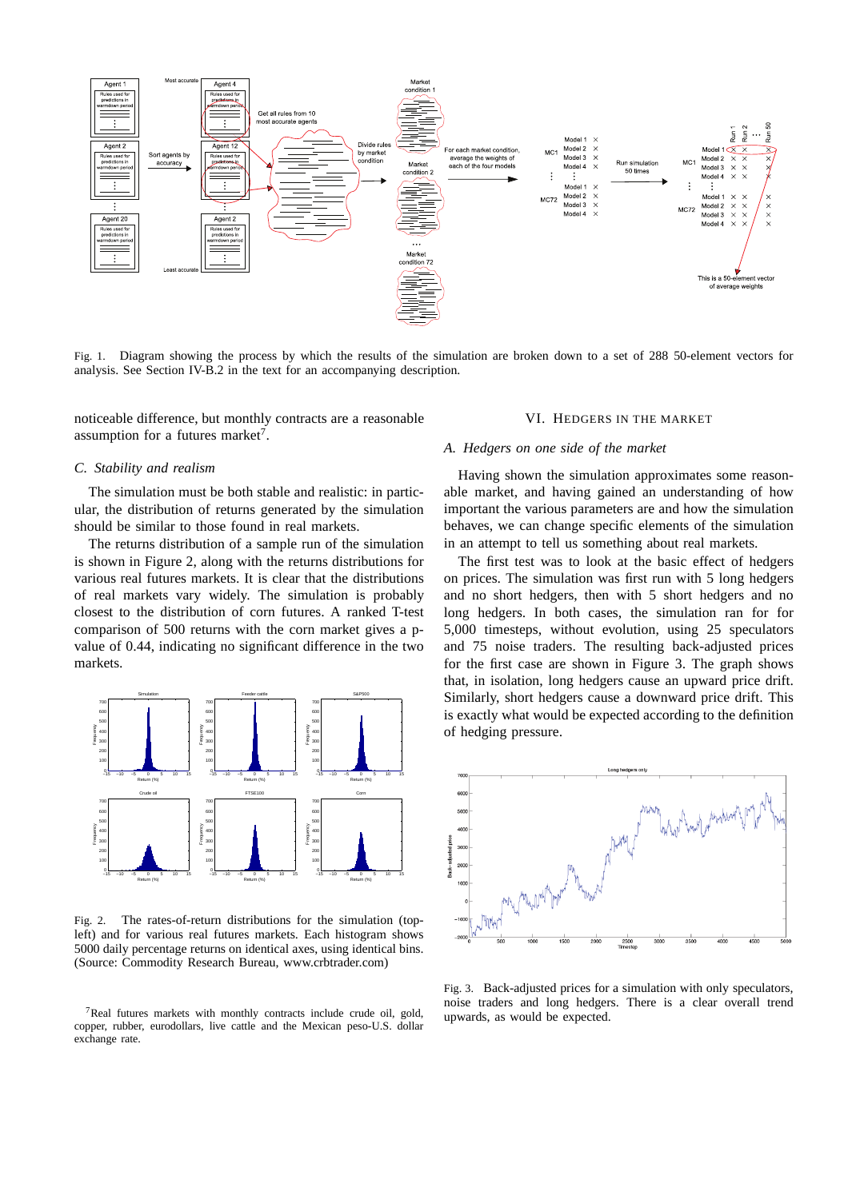

Fig. 1. Diagram showing the process by which the results of the simulation are broken down to a set of 288 50-element vectors for analysis. See Section IV-B.2 in the text for an accompanying description.

noticeable difference, but monthly contracts are a reasonable assumption for a futures market<sup>7</sup>.

#### *C. Stability and realism*

The simulation must be both stable and realistic: in particular, the distribution of returns generated by the simulation should be similar to those found in real markets.

The returns distribution of a sample run of the simulation is shown in Figure 2, along with the returns distributions for various real futures markets. It is clear that the distributions of real markets vary widely. The simulation is probably closest to the distribution of corn futures. A ranked T-test comparison of 500 returns with the corn market gives a pvalue of 0.44, indicating no significant difference in the two markets.



Fig. 2. The rates-of-return distributions for the simulation (topleft) and for various real futures markets. Each histogram shows 5000 daily percentage returns on identical axes, using identical bins. (Source: Commodity Research Bureau, www.crbtrader.com)

<sup>7</sup>Real futures markets with monthly contracts include crude oil, gold, copper, rubber, eurodollars, live cattle and the Mexican peso-U.S. dollar exchange rate.

## VI. HEDGERS IN THE MARKET

## *A. Hedgers on one side of the market*

Having shown the simulation approximates some reasonable market, and having gained an understanding of how important the various parameters are and how the simulation behaves, we can change specific elements of the simulation in an attempt to tell us something about real markets.

The first test was to look at the basic effect of hedgers on prices. The simulation was first run with 5 long hedgers and no short hedgers, then with 5 short hedgers and no long hedgers. In both cases, the simulation ran for for 5,000 timesteps, without evolution, using 25 speculators and 75 noise traders. The resulting back-adjusted prices for the first case are shown in Figure 3. The graph shows that, in isolation, long hedgers cause an upward price drift. Similarly, short hedgers cause a downward price drift. This is exactly what would be expected according to the definition of hedging pressure.



Fig. 3. Back-adjusted prices for a simulation with only speculators, noise traders and long hedgers. There is a clear overall trend upwards, as would be expected.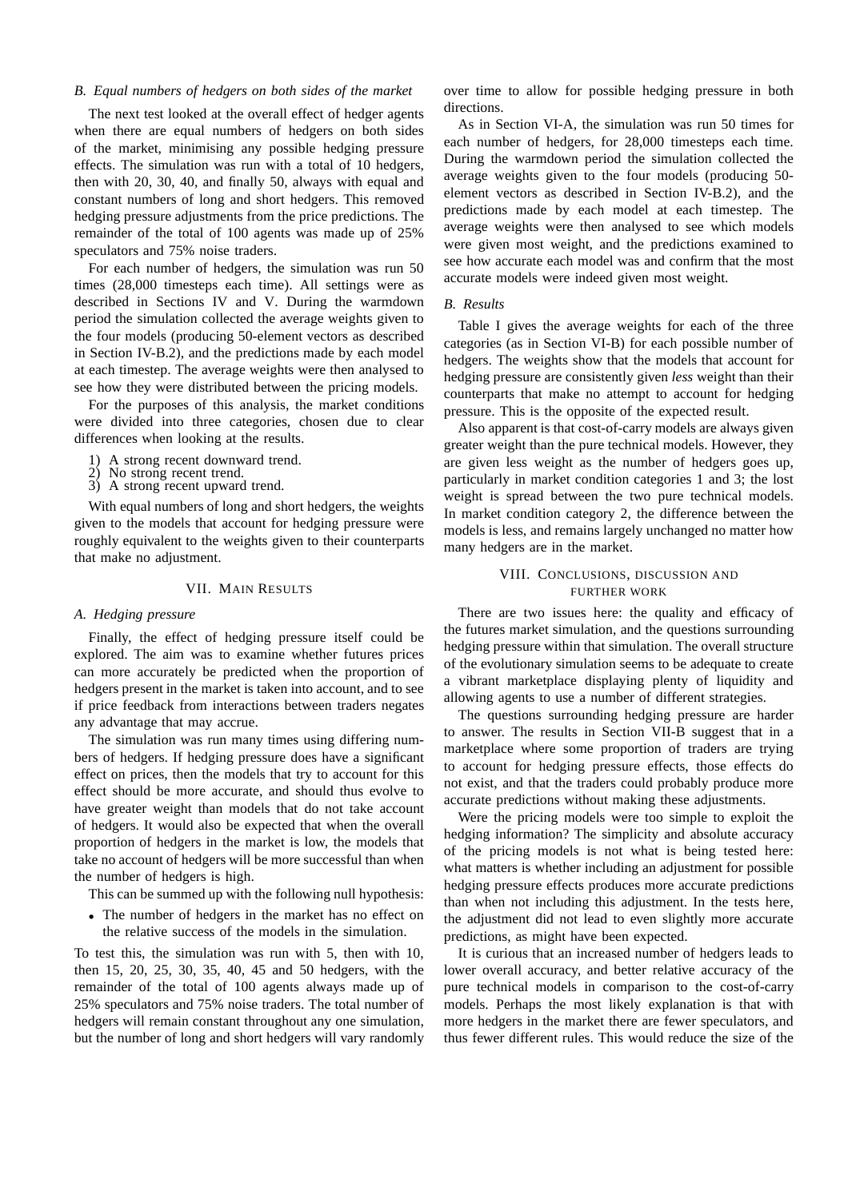## *B. Equal numbers of hedgers on both sides of the market*

The next test looked at the overall effect of hedger agents when there are equal numbers of hedgers on both sides of the market, minimising any possible hedging pressure effects. The simulation was run with a total of 10 hedgers, then with 20, 30, 40, and finally 50, always with equal and constant numbers of long and short hedgers. This removed hedging pressure adjustments from the price predictions. The remainder of the total of 100 agents was made up of 25% speculators and 75% noise traders.

For each number of hedgers, the simulation was run 50 times (28,000 timesteps each time). All settings were as described in Sections IV and V. During the warmdown period the simulation collected the average weights given to the four models (producing 50-element vectors as described in Section IV-B.2), and the predictions made by each model at each timestep. The average weights were then analysed to see how they were distributed between the pricing models.

For the purposes of this analysis, the market conditions were divided into three categories, chosen due to clear differences when looking at the results.

- 1) A strong recent downward trend.
- No strong recent trend.
- 3) A strong recent upward trend.

With equal numbers of long and short hedgers, the weights given to the models that account for hedging pressure were roughly equivalent to the weights given to their counterparts that make no adjustment.

## VII. MAIN RESULTS

### *A. Hedging pressure*

Finally, the effect of hedging pressure itself could be explored. The aim was to examine whether futures prices can more accurately be predicted when the proportion of hedgers present in the market is taken into account, and to see if price feedback from interactions between traders negates any advantage that may accrue.

The simulation was run many times using differing numbers of hedgers. If hedging pressure does have a significant effect on prices, then the models that try to account for this effect should be more accurate, and should thus evolve to have greater weight than models that do not take account of hedgers. It would also be expected that when the overall proportion of hedgers in the market is low, the models that take no account of hedgers will be more successful than when the number of hedgers is high.

This can be summed up with the following null hypothesis:

• The number of hedgers in the market has no effect on the relative success of the models in the simulation.

To test this, the simulation was run with 5, then with 10, then 15, 20, 25, 30, 35, 40, 45 and 50 hedgers, with the remainder of the total of 100 agents always made up of 25% speculators and 75% noise traders. The total number of hedgers will remain constant throughout any one simulation, but the number of long and short hedgers will vary randomly

over time to allow for possible hedging pressure in both directions.

As in Section VI-A, the simulation was run 50 times for each number of hedgers, for 28,000 timesteps each time. During the warmdown period the simulation collected the average weights given to the four models (producing 50 element vectors as described in Section IV-B.2), and the predictions made by each model at each timestep. The average weights were then analysed to see which models were given most weight, and the predictions examined to see how accurate each model was and confirm that the most accurate models were indeed given most weight.

## *B. Results*

Table I gives the average weights for each of the three categories (as in Section VI-B) for each possible number of hedgers. The weights show that the models that account for hedging pressure are consistently given *less* weight than their counterparts that make no attempt to account for hedging pressure. This is the opposite of the expected result.

Also apparent is that cost-of-carry models are always given greater weight than the pure technical models. However, they are given less weight as the number of hedgers goes up, particularly in market condition categories 1 and 3; the lost weight is spread between the two pure technical models. In market condition category 2, the difference between the models is less, and remains largely unchanged no matter how many hedgers are in the market.

## VIII. CONCLUSIONS, DISCUSSION AND FURTHER WORK

There are two issues here: the quality and efficacy of the futures market simulation, and the questions surrounding hedging pressure within that simulation. The overall structure of the evolutionary simulation seems to be adequate to create a vibrant marketplace displaying plenty of liquidity and allowing agents to use a number of different strategies.

The questions surrounding hedging pressure are harder to answer. The results in Section VII-B suggest that in a marketplace where some proportion of traders are trying to account for hedging pressure effects, those effects do not exist, and that the traders could probably produce more accurate predictions without making these adjustments.

Were the pricing models were too simple to exploit the hedging information? The simplicity and absolute accuracy of the pricing models is not what is being tested here: what matters is whether including an adjustment for possible hedging pressure effects produces more accurate predictions than when not including this adjustment. In the tests here, the adjustment did not lead to even slightly more accurate predictions, as might have been expected.

It is curious that an increased number of hedgers leads to lower overall accuracy, and better relative accuracy of the pure technical models in comparison to the cost-of-carry models. Perhaps the most likely explanation is that with more hedgers in the market there are fewer speculators, and thus fewer different rules. This would reduce the size of the